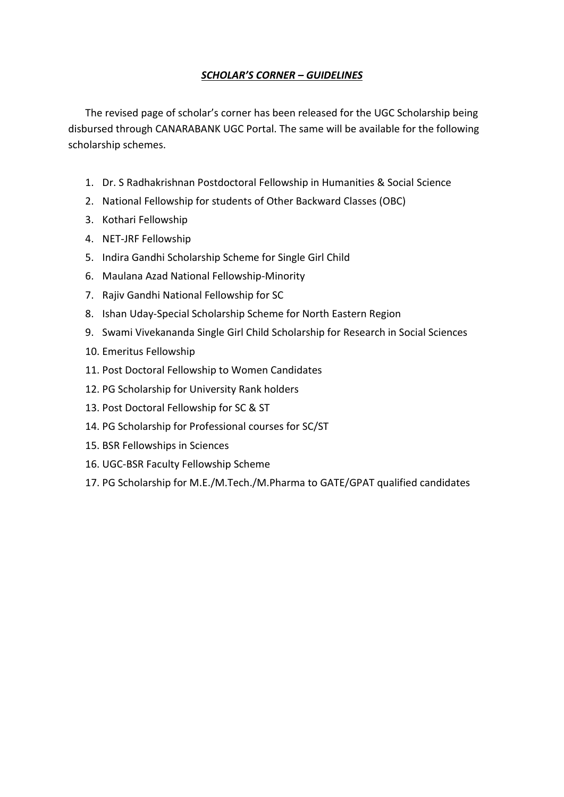## *SCHOLAR'S CORNER – GUIDELINES*

The revised page of scholar's corner has been released for the UGC Scholarship being disbursed through CANARABANK UGC Portal. The same will be available for the following scholarship schemes.

- 1. Dr. S Radhakrishnan Postdoctoral Fellowship in Humanities & Social Science
- 2. National Fellowship for students of Other Backward Classes (OBC)
- 3. Kothari Fellowship
- 4. NET-JRF Fellowship
- 5. Indira Gandhi Scholarship Scheme for Single Girl Child
- 6. Maulana Azad National Fellowship-Minority
- 7. Rajiv Gandhi National Fellowship for SC
- 8. Ishan Uday-Special Scholarship Scheme for North Eastern Region
- 9. Swami Vivekananda Single Girl Child Scholarship for Research in Social Sciences
- 10. Emeritus Fellowship
- 11. Post Doctoral Fellowship to Women Candidates
- 12. PG Scholarship for University Rank holders
- 13. Post Doctoral Fellowship for SC & ST
- 14. PG Scholarship for Professional courses for SC/ST
- 15. BSR Fellowships in Sciences
- 16. UGC-BSR Faculty Fellowship Scheme
- 17. PG Scholarship for M.E./M.Tech./M.Pharma to GATE/GPAT qualified candidates